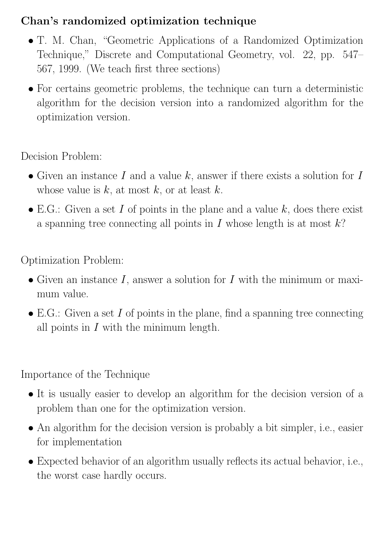#### Chan's randomized optimization technique

- T. M. Chan, "Geometric Applications of a Randomized Optimization Technique," Discrete and Computational Geometry, vol. 22, pp. 547– 567, 1999. (We teach first three sections)
- For certains geometric problems, the technique can turn a deterministic algorithm for the decision version into a randomized algorithm for the optimization version.

Decision Problem:

- Given an instance  $I$  and a value  $k$ , answer if there exists a solution for  $I$ whose value is  $k$ , at most  $k$ , or at least  $k$ .
- E.G.: Given a set I of points in the plane and a value  $k$ , does there exist a spanning tree connecting all points in  $I$  whose length is at most  $k$ ?

Optimization Problem:

- Given an instance  $I$ , answer a solution for  $I$  with the minimum or maximum value.
- E.G.: Given a set  $I$  of points in the plane, find a spanning tree connecting all points in  $I$  with the minimum length.

Importance of the Technique

- It is usually easier to develop an algorithm for the decision version of a problem than one for the optimization version.
- An algorithm for the decision version is probably a bit simpler, i.e., easier for implementation
- Expected behavior of an algorithm usually reflects its actual behavior, i.e., the worst case hardly occurs.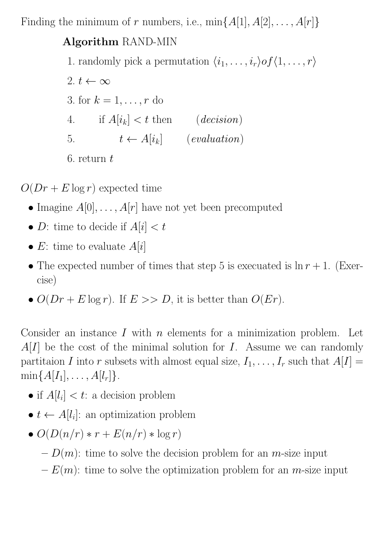Finding the minimum of r numbers, i.e.,  $\min\{A[1], A[2], \ldots, A[r]\}$ 

#### Algorithm RAND-MIN

- 1. randomly pick a permutation  $\langle i_1, \ldots, i_r \rangle of \langle 1, \ldots, r \rangle$
- 2.  $t \leftarrow \infty$ 3. for  $k = 1, \ldots, r$  do 4. if  $A[i_k] < t$  then  $\qquad (decision)$ 5.  $t \leftarrow A[i_k]$  (evaluation) 6. return  $t$

 $O(Dr + E \log r)$  expected time

- Imagine  $A[0], \ldots, A[r]$  have not yet been precomputed
- *D*: time to decide if  $A[i] < t$
- E: time to evaluate  $A[i]$
- The expected number of times that step 5 is execuated is  $\ln r + 1$ . (Exercise)
- $O(Dr + E \log r)$ . If  $E >> D$ , it is better than  $O(Er)$ .

Consider an instance  $I$  with  $n$  elements for a minimization problem. Let  $A[I]$  be the cost of the minimal solution for I. Assume we can randomly partitaion I into r subsets with almost equal size,  $I_1, \ldots, I_r$  such that  $A[I] =$  $min{A[I_1], \ldots, A[l_r]}$ .

- if  $A[l_i] < t$ : a decision problem
- $t \leftarrow A[l_i]$ : an optimization problem
- $O(D(n/r) * r + E(n/r) * \log r)$ 
	- $-D(m)$ : time to solve the decision problem for an *m*-size input
	- $-E(m)$ : time to solve the optimization problem for an *m*-size input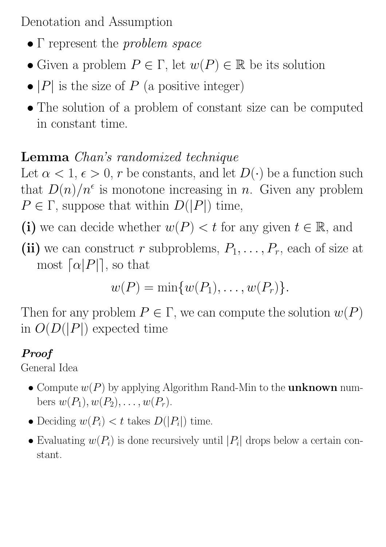Denotation and Assumption

- Γ represent the *problem space*
- Given a problem  $P \in \Gamma$ , let  $w(P) \in \mathbb{R}$  be its solution
- $|P|$  is the size of P (a positive integer)
- The solution of a problem of constant size can be computed in constant time.

# Lemma Chan's randomized technique

Let  $\alpha < 1, \epsilon > 0$ , r be constants, and let  $D(\cdot)$  be a function such that  $D(n)/n^{\epsilon}$  is monotone increasing in n. Given any problem  $P \in \Gamma$ , suppose that within  $D(|P|)$  time,

- (i) we can decide whether  $w(P) < t$  for any given  $t \in \mathbb{R}$ , and
- (ii) we can construct r subproblems,  $P_1, \ldots, P_r$ , each of size at most  $\lceil \alpha |P| \rceil$ , so that

$$
w(P) = \min \{w(P_1), \ldots, w(P_r)\}.
$$

Then for any problem  $P \in \Gamma$ , we can compute the solution  $w(P)$ in  $O(D(|P|)$  expected time

## Proof

General Idea

- Compute  $w(P)$  by applying Algorithm Rand-Min to the **unknown** numbers  $w(P_1), w(P_2), \ldots, w(P_r)$ .
- Deciding  $w(P_i) < t$  takes  $D(|P_i|)$  time.
- Evaluating  $w(P_i)$  is done recursively until  $|P_i|$  drops below a certain constant.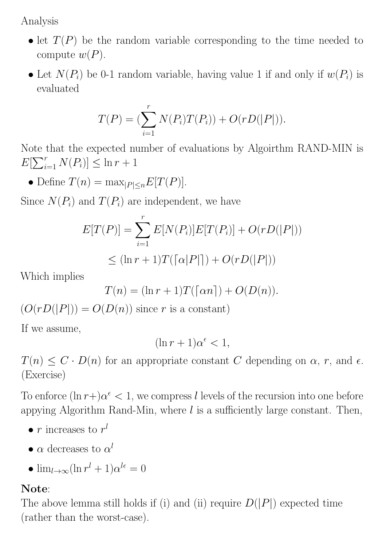Analysis

- let  $T(P)$  be the random variable corresponding to the time needed to compute  $w(P)$ .
- Let  $N(P_i)$  be 0-1 random variable, having value 1 if and only if  $w(P_i)$  is evaluated

$$
T(P) = (\sum_{i=1}^{r} N(P_i)T(P_i)) + O(rD(|P|)).
$$

Note that the expected number of evaluations by Algoirthm RAND-MIN is  $E[\sum_{i=1}^{r} N(P_i)] \leq \ln r + 1$ 

• Define  $T(n) = \max_{|P| \le n} E[T(P)].$ 

Since  $N(P_i)$  and  $T(P_i)$  are independent, we have

$$
E[T(P)] = \sum_{i=1}^{r} E[N(P_i)]E[T(P_i)] + O(rD(|P|))
$$
  

$$
\leq (\ln r + 1)T((\alpha|P|)) + O(rD(|P|))
$$

Which implies

$$
T(n) = (\ln r + 1)T(\lceil \alpha n \rceil) + O(D(n)).
$$

 $(O(rD(|P|)) = O(D(n))$  since r is a constant)

If we assume,

$$
(\ln r + 1)\alpha^{\epsilon} < 1,
$$

 $T(n) \leq C \cdot D(n)$  for an appropriate constant C depending on  $\alpha$ , r, and  $\epsilon$ . (Exercise)

To enforce  $(\ln r + \alpha^{\epsilon} < 1)$ , we compress l levels of the recursion into one before appying Algorithm Rand-Min, where  $l$  is a sufficiently large constant. Then,

- $r$  increases to  $r^l$
- $\bullet$   $\alpha$  decreases to  $\alpha^l$
- $\lim_{l\to\infty}(\ln r^l + 1)\alpha^{l\epsilon} = 0$

#### Note:

The above lemma still holds if (i) and (ii) require  $D(|P|)$  expected time (rather than the worst-case).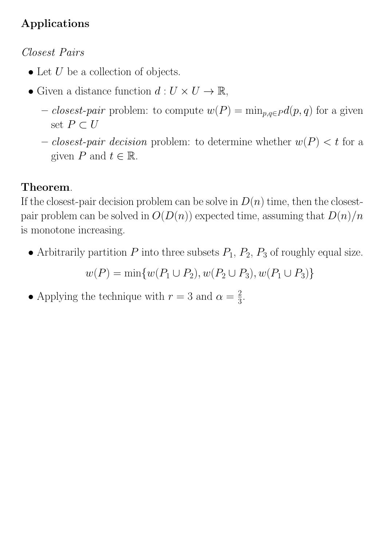## Applications

### Closest Pairs

- Let  $U$  be a collection of objects.
- Given a distance function  $d: U \times U \to \mathbb{R}$ ,
	- closest-pair problem: to compute  $w(P) = \min_{p,q \in P} d(p,q)$  for a given set  $P \subset U$
	- *closest-pair decision* problem: to determine whether  $w(P) < t$  for a given P and  $t \in \mathbb{R}$ .

# Theorem.

If the closest-pair decision problem can be solve in  $D(n)$  time, then the closestpair problem can be solved in  $O(D(n))$  expected time, assuming that  $D(n)/n$ is monotone increasing.

• Arbitrarily partition  $P$  into three subsets  $P_1$ ,  $P_2$ ,  $P_3$  of roughly equal size.

$$
w(P) = \min\{w(P_1 \cup P_2), w(P_2 \cup P_3), w(P_1 \cup P_3)\}\
$$

• Applying the technique with  $r = 3$  and  $\alpha = \frac{2}{3}$  $\frac{2}{3}$ .